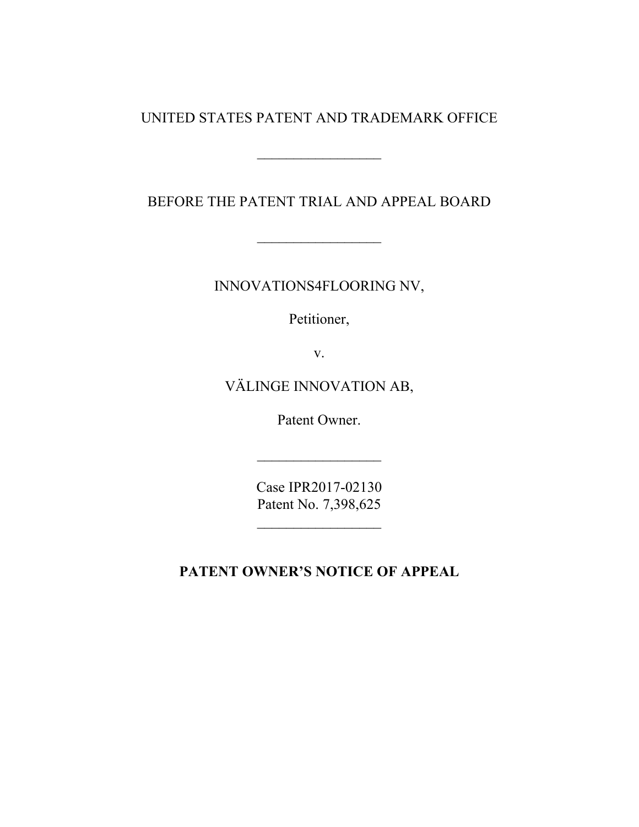## UNITED STATES PATENT AND TRADEMARK OFFICE

 $\mathcal{L}_\text{max}$ 

BEFORE THE PATENT TRIAL AND APPEAL BOARD

INNOVATIONS4FLOORING NV,

Petitioner,

v.

VÄLINGE INNOVATION AB,

Patent Owner.

Case IPR2017-02130 Patent No. 7,398,625

**PATENT OWNER'S NOTICE OF APPEAL**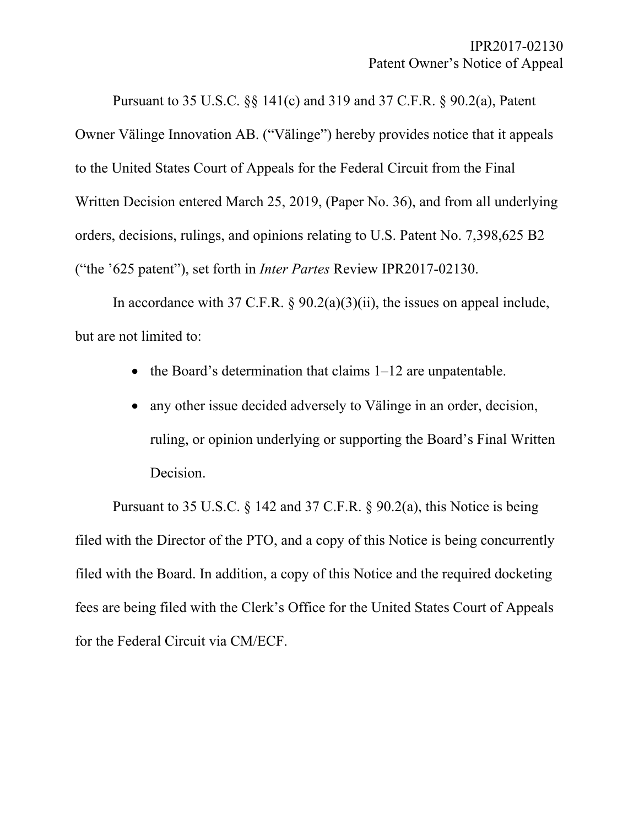Pursuant to 35 U.S.C. §§ 141(c) and 319 and 37 C.F.R. § 90.2(a), Patent Owner Välinge Innovation AB. ("Välinge") hereby provides notice that it appeals to the United States Court of Appeals for the Federal Circuit from the Final Written Decision entered March 25, 2019, (Paper No. 36), and from all underlying orders, decisions, rulings, and opinions relating to U.S. Patent No. 7,398,625 B2 ("the '625 patent"), set forth in *Inter Partes* Review IPR2017-02130.

In accordance with 37 C.F.R.  $\S 90.2(a)(3)(ii)$ , the issues on appeal include, but are not limited to:

- $\bullet$  the Board's determination that claims 1–12 are unpatentable.
- any other issue decided adversely to Välinge in an order, decision, ruling, or opinion underlying or supporting the Board's Final Written Decision.

Pursuant to 35 U.S.C. § 142 and 37 C.F.R. § 90.2(a), this Notice is being filed with the Director of the PTO, and a copy of this Notice is being concurrently filed with the Board. In addition, a copy of this Notice and the required docketing fees are being filed with the Clerk's Office for the United States Court of Appeals for the Federal Circuit via CM/ECF.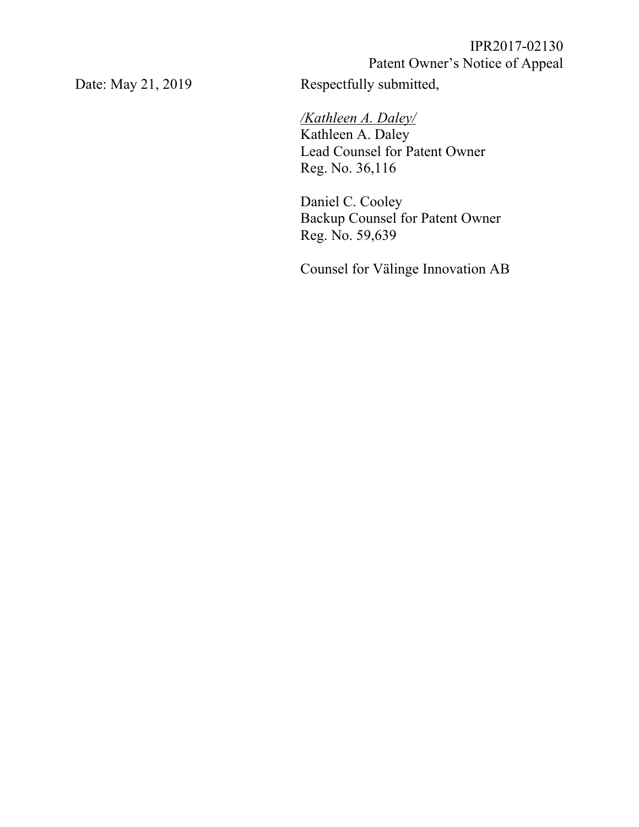IPR2017-02130 Patent Owner's Notice of Appeal

Date: May 21, 2019 Respectfully submitted,

*/Kathleen A. Daley/*  Kathleen A. Daley Lead Counsel for Patent Owner Reg. No. 36,116

Daniel C. Cooley Backup Counsel for Patent Owner Reg. No. 59,639

Counsel for Välinge Innovation AB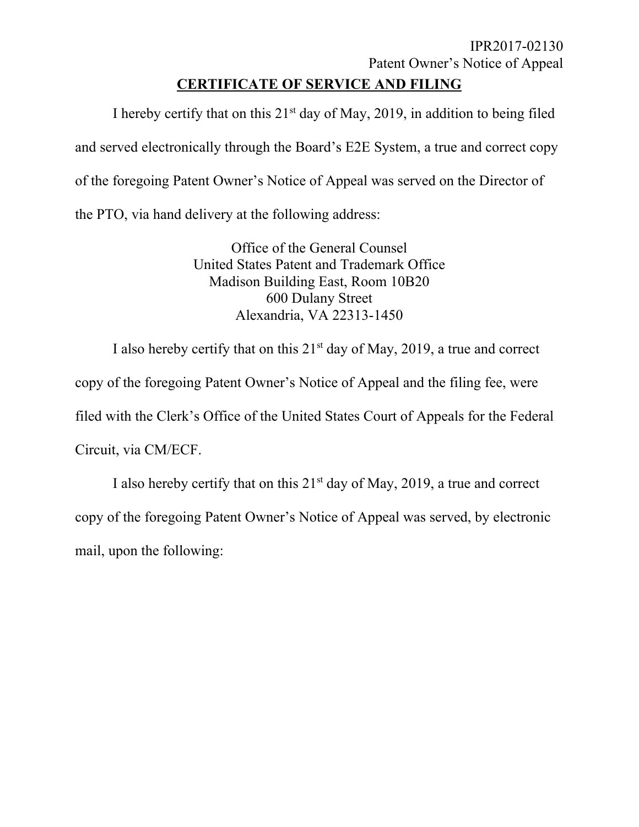## IPR2017-02130 Patent Owner's Notice of Appeal **CERTIFICATE OF SERVICE AND FILING**

I hereby certify that on this  $21<sup>st</sup>$  day of May, 2019, in addition to being filed and served electronically through the Board's E2E System, a true and correct copy of the foregoing Patent Owner's Notice of Appeal was served on the Director of the PTO, via hand delivery at the following address:

> Office of the General Counsel United States Patent and Trademark Office Madison Building East, Room 10B20 600 Dulany Street Alexandria, VA 22313-1450

I also hereby certify that on this  $21<sup>st</sup>$  day of May, 2019, a true and correct copy of the foregoing Patent Owner's Notice of Appeal and the filing fee, were filed with the Clerk's Office of the United States Court of Appeals for the Federal Circuit, via CM/ECF.

I also hereby certify that on this  $21<sup>st</sup>$  day of May, 2019, a true and correct copy of the foregoing Patent Owner's Notice of Appeal was served, by electronic mail, upon the following: